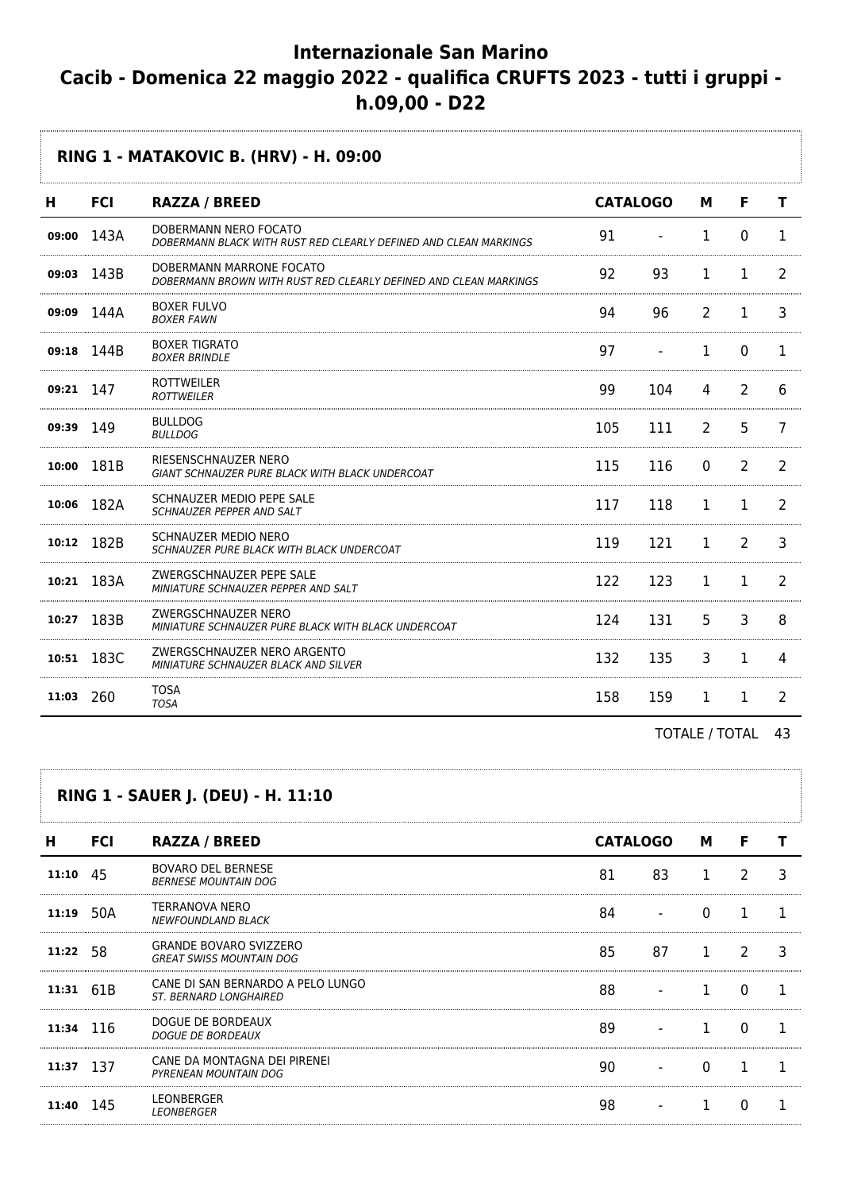# **Internazionale San Marino Cacib - Domenica 22 maggio 2022 - qualifica CRUFTS 2023 - tutti i gruppi h.09,00 - D22**

**RING 1 - MATAKOVIC B. (HRV) - H. 09:00 H FCI RAZZA / BREED CATALOGO M F T 09:00 143A DOBERMANN NERO FOCATO** DOBERMANN NERO FOCATO<br>DOBERMANN BLACK WITH RUST RED CLEARLY DEFINED AND CLEAN MARKINGS  $91 - 1 - 1 - 0 - 1$ **09:03** 143B DOBERMANN MARRONE FOCATO DOBERMANN MARRONE FOCATO<br>DOBERMANN BROWN WITH RUST RED CLEARLY DEFINED AND CLEAN MARKINGS 92 93 1 1 2 **09:09 144A** BOXER FULVO BOXER FOLVO<br>BOXER FAWN . . . . . . . . . . . . . . . . . . **09:18** 144B BOXER TIGRATO BOXER BRINDLE<br>BOXER BRINDLE **09:21** 147 ROTTWEILER ROTTWEILER EINER EINE STEIN EINE SEIT EINE SEIT SICH AUF 1990 104 4 2 6 

| 09:39 | 149        | <b>BULLDOG</b><br><b>BULLDOG</b>                                           | 105  | 111  | $\mathcal{L}$ | 5 |   |
|-------|------------|----------------------------------------------------------------------------|------|------|---------------|---|---|
|       | 10:00 181B | RIESENSCHNAUZER NERO<br>GIANT SCHNAUZER PURE BLACK WITH BLACK UNDERCOAT    | 115. | 116  | $\Omega$      |   |   |
|       | 10:06 182A | SCHNAUZER MEDIO PEPE SALE<br>SCHNAUZER PEPPER AND SALT                     | 117  | 118  |               |   |   |
| 10:12 | 182B       | SCHNAUZER MEDIO NERO<br>SCHNAUZER PURE BLACK WITH BLACK UNDERCOAT          | 119  | 121  |               | っ |   |
|       | 10:21 183A | ZWERGSCHNAUZER PEPE SALE<br>MINIATURE SCHNAUZER PEPPER AND SALT            | 122. | 123  |               |   |   |
| 10:27 | 183B       | ZWERGSCHNAUZER NERO<br>MINIATURE SCHNAUZER PURE BLACK WITH BLACK UNDERCOAT | 124. | 131  | 5             | 3 | 8 |
|       | 10:51 183C | ZWERGSCHNAUZER NERO ARGENTO<br>MINIATURE SCHNAUZER BLACK AND SILVER        | 132  | 135. | 3             |   |   |
| 11:03 | 260        | TOSA<br><b>TOSA</b>                                                        | 158  | 159  |               |   |   |

|           |            | RING 1 - SAUER J. (DEU) - H. 11:10                                 |                 |    |              |   |  |
|-----------|------------|--------------------------------------------------------------------|-----------------|----|--------------|---|--|
| Н         | <b>FCI</b> | <b>RAZZA / BREED</b>                                               | <b>CATALOGO</b> |    | М            | F |  |
| 11:10     | 45         | <b>BOVARO DEL BERNESE</b><br><b>BERNESE MOUNTAIN DOG</b>           | 81              | 83 |              | 2 |  |
|           | 11:19 50A  | TERRANOVA NERO<br><b>NEWFOUNDLAND BLACK</b>                        | 84              |    |              |   |  |
| 11:22 58  |            | <b>GRANDE BOVARO SVIZZERO</b><br><b>GREAT SWISS MOUNTAIN DOG</b>   | 85              | 87 |              |   |  |
| 11:31 61B |            | CANE DI SAN BERNARDO A PELO LUNGO<br><b>ST. BERNARD LONGHAIRED</b> | 88              |    |              | O |  |
| 11:34 116 |            | DOGUE DE BORDEAUX<br><b>DOGUE DE BORDEAUX</b>                      | 89              |    |              | O |  |
| 11:37 137 |            | CANE DA MONTAGNA DEI PIRENEI<br>PYRENEAN MOUNTAIN DOG              | 90              |    | <sup>0</sup> |   |  |
| 11:40     |            | LEONBERGER<br><b>LEONBERGER</b>                                    | 98              |    |              |   |  |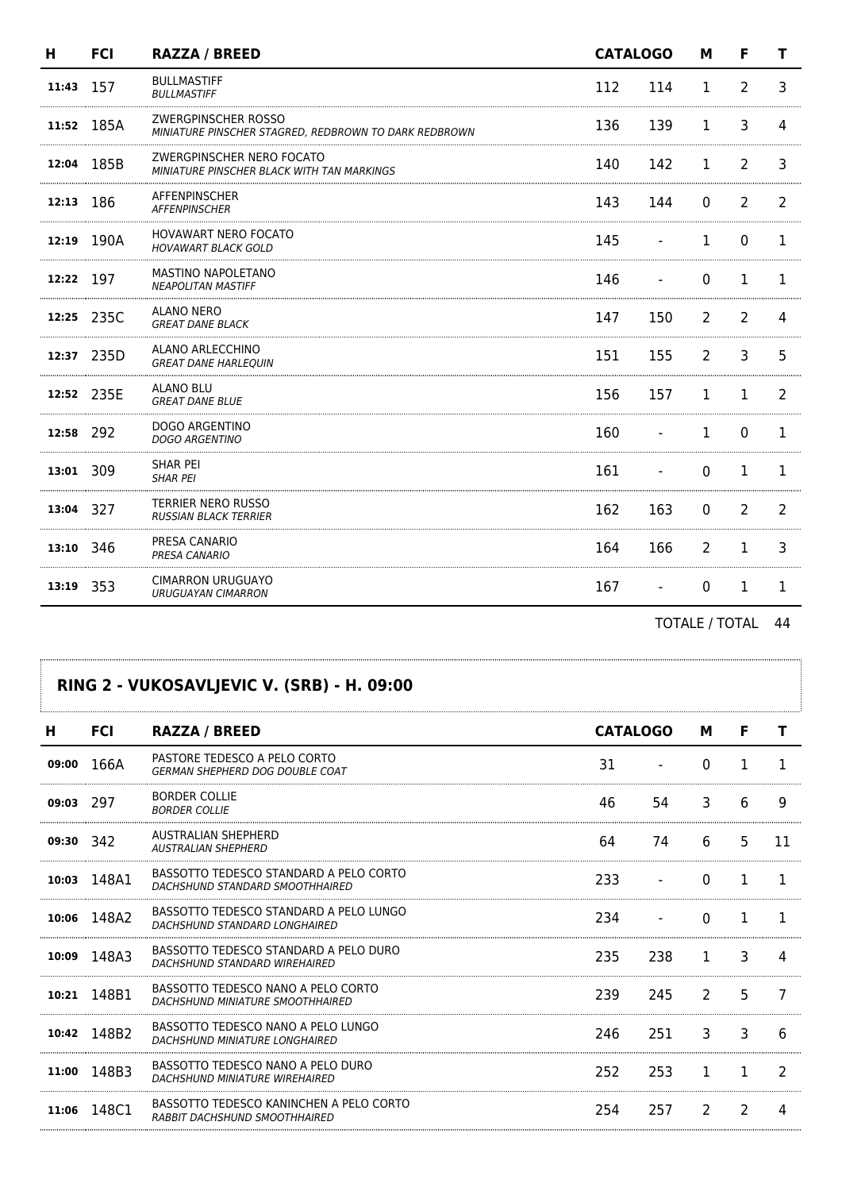| н         | <b>FCI</b> | <b>RAZZA / BREED</b>                                                                | <b>CATALOGO</b> |     | M              | F              | т  |
|-----------|------------|-------------------------------------------------------------------------------------|-----------------|-----|----------------|----------------|----|
| 11:43     | 157        | <b>BULLMASTIFF</b><br><b>BULLMASTIFF</b>                                            | 112             | 114 | 1              | $\overline{2}$ | 3  |
|           | 11:52 185A | <b>ZWERGPINSCHER ROSSO</b><br>MINIATURE PINSCHER STAGRED, REDBROWN TO DARK REDBROWN | 136             | 139 | 1              | 3              | 4  |
| 12:04     | 185B       | ZWERGPINSCHER NERO FOCATO<br>MINIATURE PINSCHER BLACK WITH TAN MARKINGS             | 140             | 142 | 1              | $\overline{2}$ | 3  |
| 12:13 186 |            | <b>AFFENPINSCHER</b><br><b>AFFENPINSCHER</b>                                        | 143             | 144 | $\mathbf{0}$   | $\overline{2}$ | 2  |
|           | 12:19 190A | <b>HOVAWART NERO FOCATO</b><br><b>HOVAWART BLACK GOLD</b>                           | 145             |     | 1              | 0              | 1  |
| 12:22 197 |            | MASTINO NAPOLETANO<br><b>NEAPOLITAN MASTIFF</b>                                     | 146             |     | $\Omega$       | 1              | 1. |
|           | 12:25 235C | <b>ALANO NERO</b><br><b>GREAT DANE BLACK</b>                                        | 147             | 150 | $\overline{2}$ | $\overline{2}$ | 4  |
|           | 12:37 235D | ALANO ARLECCHINO<br><b>GREAT DANE HARLEOUIN</b>                                     | 151             | 155 | $\overline{2}$ | 3              | 5  |
|           | 12:52 235E | <b>ALANO BLU</b><br><b>GREAT DANE BLUE</b>                                          | 156             | 157 | 1              | $\mathbf{1}$   | 2  |
| 12:58 292 |            | <b>DOGO ARGENTINO</b><br><b>DOGO ARGENTINO</b>                                      | 160             |     | 1              | 0              |    |
| 13:01 309 |            | <b>SHAR PEI</b><br><b>SHAR PEI</b>                                                  | 161             |     | $\Omega$       | $\mathbf{1}$   | 1  |
| 13:04 327 |            | <b>TERRIER NERO RUSSO</b><br><b>RUSSIAN BLACK TERRIER</b>                           | 162             | 163 | $\Omega$       | 2              | 2  |
| 13:10     | 346        | PRESA CANARIO<br>PRESA CANARIO                                                      | 164             | 166 | $\overline{2}$ | $\mathbf{1}$   | 3  |
| 13:19     | 353        | <b>CIMARRON URUGUAYO</b><br><b>URUGUAYAN CIMARRON</b>                               | 167             |     | 0              | 1              | 1  |

## **RING 2 - VUKOSAVLJEVIC V. (SRB) - H. 09:00**

| н         | <b>FCI</b> | <b>RAZZA / BREED</b>                                                      | <b>CATALOGO</b> |     | М             | F             |               |
|-----------|------------|---------------------------------------------------------------------------|-----------------|-----|---------------|---------------|---------------|
| 09:00     | 166A       | PASTORE TEDESCO A PELO CORTO<br><b>GERMAN SHEPHERD DOG DOUBLE COAT</b>    | 31              |     | 0             |               |               |
| 09:03     | -297       | <b>BORDER COLLIE</b><br><b>BORDER COLLIE</b>                              | 46              | 54  | 3             | 6             | 9             |
| 09:30 342 |            | AUSTRALIAN SHEPHERD<br><b>AUSTRALIAN SHEPHERD</b>                         | 64              | 74  | 6             | 5             | 11            |
| 10:03     | 148A1      | BASSOTTO TEDESCO STANDARD A PELO CORTO<br>DACHSHUND STANDARD SMOOTHHAIRED | 233             |     | 0             |               |               |
| 10:06     | 148A2      | BASSOTTO TEDESCO STANDARD A PELO LUNGO<br>DACHSHUND STANDARD LONGHAIRED   | 234             |     | 0             | 1             | 1             |
| 10:09     | 148A3      | BASSOTTO TEDESCO STANDARD A PELO DURO<br>DACHSHUND STANDARD WIREHAIRED    | 235             | 238 | 1             | 3             | 4             |
| 10:21     | 148B1      | BASSOTTO TEDESCO NANO A PELO CORTO<br>DACHSHUND MINIATURE SMOOTHHAIRED    | 239             | 245 | $\mathcal{P}$ | 5             | 7             |
| 10:42     | 148B2      | BASSOTTO TEDESCO NANO A PELO LUNGO<br>DACHSHUND MINIATURE LONGHAIRED      | 246             | 251 | 3             | 3             | 6             |
| 11:00     | 148B3      | BASSOTTO TEDESCO NANO A PELO DURO<br>DACHSHUND MINIATURE WIREHAIRED       | 252             | 253 | 1             | 1             | $\mathcal{P}$ |
| 11:06     | 148C1      | BASSOTTO TEDESCO KANINCHEN A PELO CORTO<br>RABBIT DACHSHUND SMOOTHHAIRED  | 254             | 257 | 2             | $\mathcal{P}$ |               |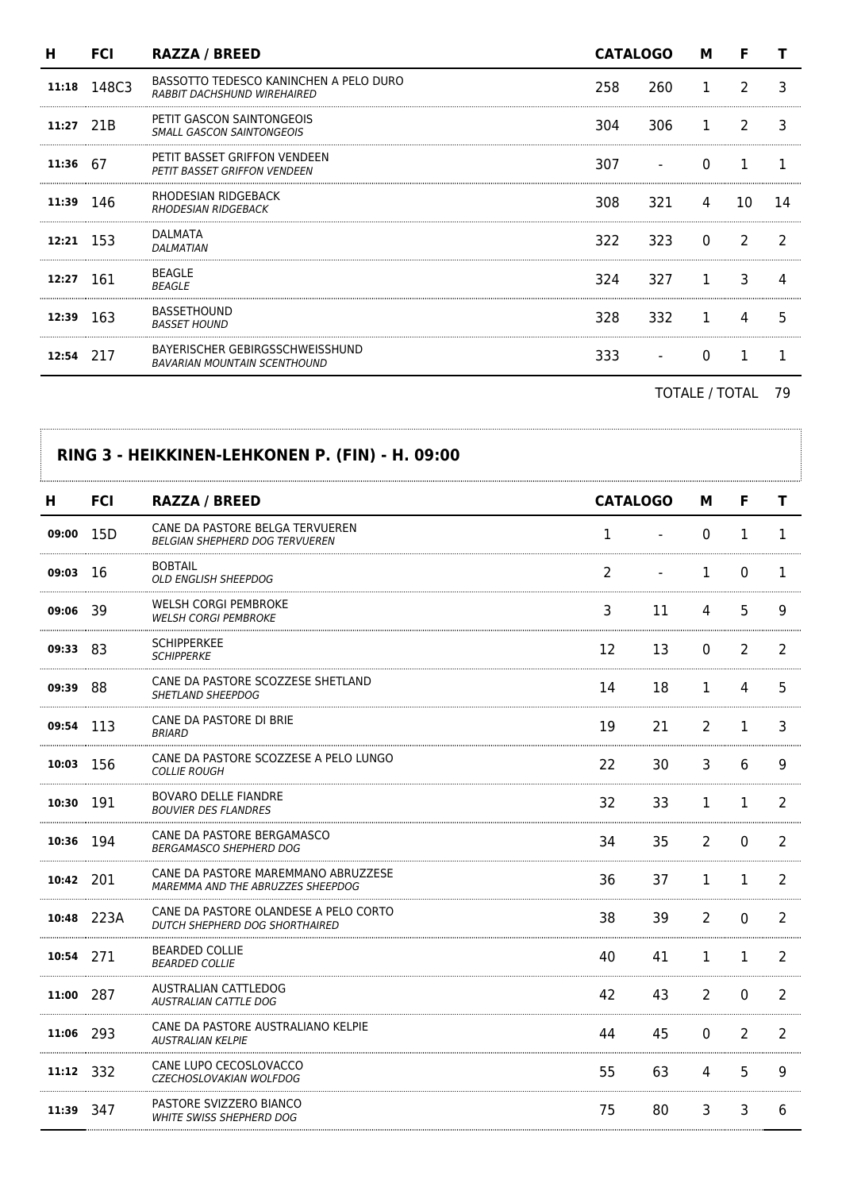| н         | <b>FCI</b>  | <b>RAZZA / BREED</b>                                                   | <b>CATALOGO</b> |      | М              | F             |    |
|-----------|-------------|------------------------------------------------------------------------|-----------------|------|----------------|---------------|----|
|           | 11:18 148C3 | BASSOTTO TEDESCO KANINCHEN A PELO DURO<br>RABBIT DACHSHUND WIREHAIRED  | 258.            | 260  |                | $\mathcal{L}$ |    |
| 11:27 21B |             | PETIT GASCON SAINTONGEOIS<br><b>SMALL GASCON SAINTONGEOIS</b>          | 304             | 306. | $\overline{1}$ | $\mathcal{P}$ | 3  |
| 11:36 67  |             | PETIT BASSET GRIFFON VENDEEN<br><b>PETIT BASSET GRIFFON VENDEEN</b>    | 307 —           |      | $\Omega$       |               |    |
| 11:39 146 |             | RHODESIAN RIDGEBACK<br><b>RHODESIAN RIDGEBACK</b>                      | 308             | 321  | 4              | 10            | 14 |
| 12:21 153 |             | DALMATA<br>DALMATIAN                                                   | 322             | 323  | $\Omega$       | $\mathcal{L}$ |    |
| 12:27 161 |             | <b>BEAGLE</b><br><b>BEAGLE</b>                                         | 324             | 327  |                | 3             |    |
| 12:39 163 |             | <b>BASSETHOUND</b><br><b>BASSET HOUND</b>                              | 328             | 332  |                | 4             | 5  |
| 12:54     | 217         | BAYERISCHER GEBIRGSSCHWEISSHUND<br><b>BAVARIAN MOUNTAIN SCENTHOUND</b> | 333             |      |                |               |    |
|           |             |                                                                        |                 |      |                |               |    |

|            |            | RING 3 - HEIKKINEN-LEHKONEN P. (FIN) - H. 09:00                          |                 |    |             |              |                |
|------------|------------|--------------------------------------------------------------------------|-----------------|----|-------------|--------------|----------------|
| н.         | <b>FCI</b> | <b>RAZZA / BREED</b>                                                     | <b>CATALOGO</b> |    | м           | F            | т              |
| 09:00 15D  |            | CANE DA PASTORE BELGA TERVUEREN<br><b>BELGIAN SHEPHERD DOG TERVUEREN</b> | 1               |    | 0           | 1            | 1              |
| $09:03$ 16 |            | <b>BOBTAIL</b><br><b>OLD ENGLISH SHEEPDOG</b>                            | 2               |    | 1           | 0            | 1              |
| 09:06 39   |            | WELSH CORGI PEMBROKE<br><b>WELSH CORGI PEMBROKE</b>                      | 3               | 11 | 4           | 5            | 9              |
| 09:33 83   |            | <b>SCHIPPERKEE</b><br><b>SCHIPPERKE</b>                                  | 12              | 13 | $\mathbf 0$ | 2            | 2              |
| 09:39 88   |            | CANE DA PASTORE SCOZZESE SHETLAND<br>SHETLAND SHEEPDOG                   | 14              | 18 | 1           | 4            | 5              |
| 09:54 113  |            | CANE DA PASTORE DI BRIE<br><b>BRIARD</b>                                 | 19              | 21 | 2           | $\mathbf{1}$ | 3              |
| 10:03      | -156       | CANE DA PASTORE SCOZZESE A PELO LUNGO<br><b>COLLIE ROUGH</b>             | 22              | 30 | 3           | 6            | 9              |
| 10:30      | 191        | BOVARO DELLE FIANDRE<br><b>BOUVIER DES FLANDRES</b>                      | 32              | 33 | 1           | $\mathbf{1}$ | $\overline{2}$ |
| 10:36 194  |            | CANE DA PASTORE BERGAMASCO<br><b>BERGAMASCO SHEPHERD DOG</b>             | 34              | 35 | 2           | 0            | $\overline{2}$ |
| 10:42 201  |            | CANE DA PASTORE MAREMMANO ABRUZZESE<br>MAREMMA AND THE ABRUZZES SHEEPDOG | 36              | 37 | 1           | 1            | 2              |
|            | 10:48 223A | CANE DA PASTORE OLANDESE A PELO CORTO<br>DUTCH SHEPHERD DOG SHORTHAIRED  | 38              | 39 | 2           | 0            | 2              |
| 10:54 271  |            | <b>BEARDED COLLIE</b><br><b>BEARDED COLLIE</b>                           | 40              | 41 | 1           | 1            | 2              |
| 11:00 287  |            | AUSTRALIAN CATTLEDOG<br>AUSTRALIAN CATTLE DOG                            | 42              | 43 | 2           | 0            | 2              |
| 11:06 293  |            | CANE DA PASTORE AUSTRALIANO KELPIE<br><b>AUSTRALIAN KELPIE</b>           | 44              | 45 | $\Omega$    | 2            | 2              |
| 11:12 332  |            | CANE LUPO CECOSLOVACCO<br>CZECHOSLOVAKIAN WOLFDOG                        | 55              | 63 | 4           | 5.           | q              |
| 11:39 347  |            | PASTORE SVIZZERO BIANCO<br>WHITE SWISS SHEPHERD DOG                      | 75              | 80 | 3           | 3            | 6              |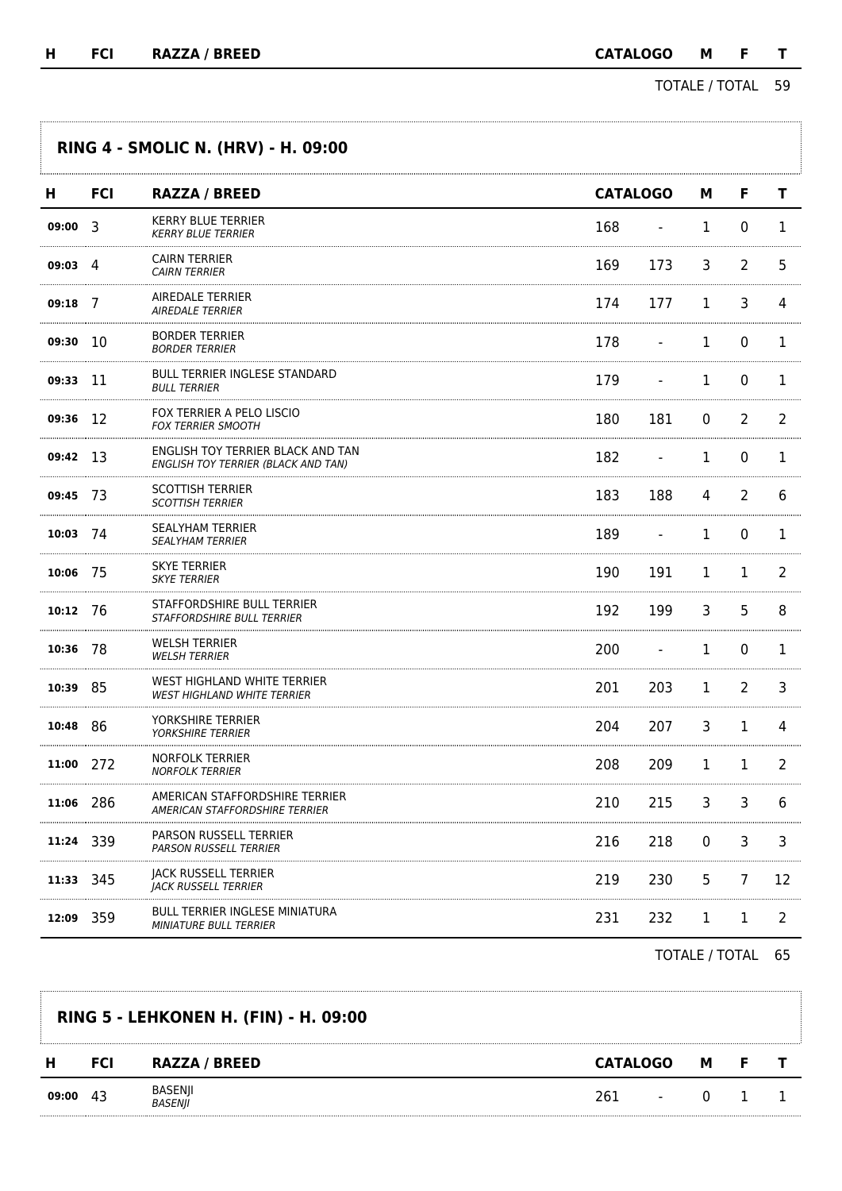TOTALE / TOTAL 59

Ï

|                  |            | <b>RING 4 - SMOLIC N. (HRV) - H. 09:00</b>                               |     |                          |              |              |              |
|------------------|------------|--------------------------------------------------------------------------|-----|--------------------------|--------------|--------------|--------------|
| н                | <b>FCI</b> | <b>RAZZA / BREED</b>                                                     |     | <b>CATALOGO</b>          | М            | F            | T            |
| $09:00$ 3        |            | <b>KERRY BLUE TERRIER</b><br>KERRY BLUE TERRIER                          | 168 | $\overline{\phantom{a}}$ | $\mathbf{1}$ | 0            | $\mathbf{1}$ |
| $09:03 \quad 4$  |            | CAIRN TERRIER<br><b>CAIRN TERRIER</b>                                    | 169 | 173                      | 3            | 2            | 5            |
| 09:18            | - 7        | AIREDALE TERRIER<br><b>AIREDALE TERRIER</b>                              | 174 | 177                      | 1            | 3            | 4            |
| 09:30 10         |            | BORDER TERRIER<br><b>BORDER TERRIER</b>                                  | 178 | $\blacksquare$           | 1            | 0            | 1            |
| 09:33            | - 11       | <b>BULL TERRIER INGLESE STANDARD</b><br>BULL TERRIER                     | 179 | $\blacksquare$           | $\mathbf{1}$ | $\Omega$     | 1            |
| 09:36 12         |            | FOX TERRIER A PELO LISCIO<br><b>FOX TERRIER SMOOTH</b>                   | 180 | 181                      | 0            | 2            | 2            |
| 09:42 13         |            | ENGLISH TOY TERRIER BLACK AND TAN<br>ENGLISH TOY TERRIER (BLACK AND TAN) | 182 |                          | 1            | 0            | 1            |
| 09:45 73         |            | SCOTTISH TERRIER<br><b>SCOTTISH TERRIER</b>                              | 183 | 188                      | 4            | 2            | 6            |
| $10:03$ 74       |            | SEALYHAM TERRIER<br><b>SEALYHAM TERRIER</b>                              | 189 |                          | $\mathbf{1}$ | 0            | 1            |
| 10:06 75         |            | SKYE TERRIER<br><b>SKYE TERRIER</b>                                      | 190 | 191                      | 1            | 1            | 2            |
| $10:12 \quad 76$ |            | STAFFORDSHIRE BULL TERRIER<br><i><b>STAFFORDSHIRE BULL TERRIER</b></i>   | 192 | 199                      | 3            | 5            | 8            |
| 10:36 78         |            | WELSH TERRIER<br><b>WELSH TERRIER</b>                                    | 200 | $\blacksquare$           | 1            | $\mathbf{0}$ | 1            |
| 10:39            | -85        | WEST HIGHLAND WHITE TERRIER<br><b>WEST HIGHLAND WHITE TERRIER</b>        | 201 | 203                      | 1            | 2            | 3            |
| 10:48 86         |            | YORKSHIRE TERRIER<br><b>YORKSHIRE TERRIER</b>                            | 204 | 207                      | 3            | 1            | 4            |
| 11:00 272        |            | NORFOLK TERRIER<br>NORFOLK TERRIER                                       | 208 | 209                      | $\mathbf{1}$ | 1            | 2            |
| 11:06 286        |            | AMERICAN STAFFORDSHIRE TERRIER<br><b>AMERICAN STAFFORDSHIRE TERRIER</b>  | 210 | 215                      | 3            | 3            | 6            |
| 11:24 339        |            | PARSON RUSSELL TERRIER<br>PARSON RUSSELL TERRIER                         | 216 | 218                      | 0            | 3            | 3            |
| 11:33 345        |            | JACK RUSSELL TERRIER<br><b>JACK RUSSELL TERRIER</b>                      | 219 | 230                      | 5            | 7            | 12           |
| 12:09            | 359        | <b>BULL TERRIER INGLESE MINIATURA</b><br><b>MINIATURE BULL TERRIER</b>   | 231 | 232                      | 1            | 1            | 2            |

|       |            | <b>RING 5 - LEHKONEN H. (FIN) - H. 09:00</b> |                 |                          |          |    |  |
|-------|------------|----------------------------------------------|-----------------|--------------------------|----------|----|--|
| н     | <b>FCI</b> | <b>RAZZA / BREED</b>                         | <b>CATALOGO</b> |                          | м        | -F |  |
| 09:00 | -43        | BASENJI<br><i>BASEN  </i>                    | 261             | $\overline{\phantom{0}}$ | $\Omega$ |    |  |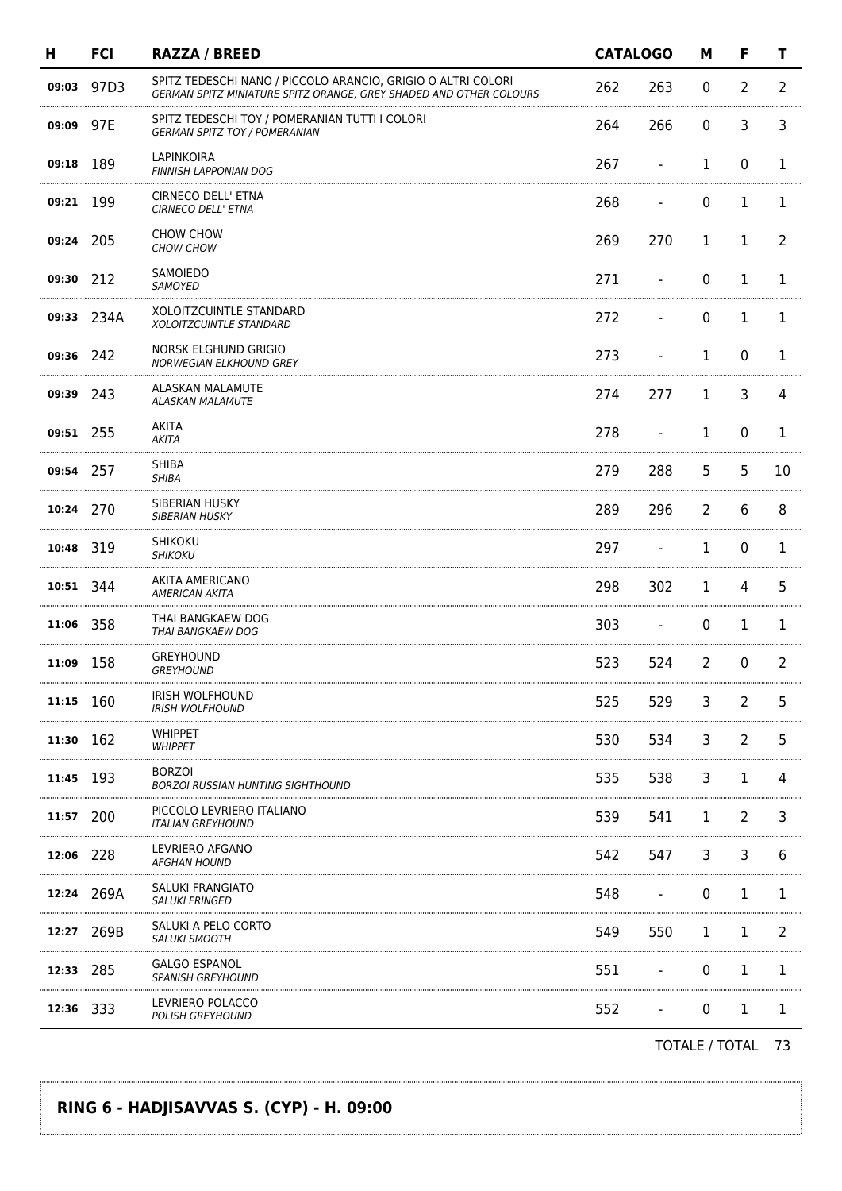| н         | <b>FCI</b> | <b>RAZZA / BREED</b>                                                                                                               | <b>CATALOGO</b> |                          | M              | F              | т              |
|-----------|------------|------------------------------------------------------------------------------------------------------------------------------------|-----------------|--------------------------|----------------|----------------|----------------|
| 09:03     | 97D3       | SPITZ TEDESCHI NANO / PICCOLO ARANCIO, GRIGIO O ALTRI COLORI<br>GERMAN SPITZ MINIATURE SPITZ ORANGE, GREY SHADED AND OTHER COLOURS | 262             | 263                      | 0              | $\overline{2}$ | $\overline{2}$ |
| 09:09     | 97E        | SPITZ TEDESCHI TOY / POMERANIAN TUTTI I COLORI<br><b>GERMAN SPITZ TOY / POMERANIAN</b>                                             | 264             | 266                      | 0              | 3              | 3              |
| 09:18 189 |            | LAPINKOIRA<br><b>FINNISH LAPPONIAN DOG</b>                                                                                         | 267             | $\overline{\phantom{a}}$ | 1              | 0              | 1              |
| 09:21 199 |            | CIRNECO DELL' ETNA<br>CIRNECO DELL' ETNA                                                                                           | 268             |                          | 0              | $\mathbf{1}$   | 1              |
| 09:24 205 |            | CHOW CHOW<br>CHOW CHOW                                                                                                             | 269             | 270                      | 1              | L              | 2              |
| 09:30 212 |            | SAMOIEDO<br>SAMOYED                                                                                                                | 271             |                          | 0              | 1              | 1              |
|           | 09:33 234A | XOLOITZCUINTLE STANDARD<br>XOLOITZCUINTLE STANDARD                                                                                 | 272             |                          | $\mathbf{0}$   | 1              | 1              |
| 09:36 242 |            | NORSK ELGHUND GRIGIO<br><b>NORWEGIAN ELKHOUND GREY</b>                                                                             | 273             |                          | 1              | $\Omega$       | 1              |
| 09:39 243 |            | ALASKAN MALAMUTE<br><b>ALASKAN MALAMUTE</b>                                                                                        | 274             | 277                      | 1              | 3              | 4              |
| 09:51 255 |            | AKITA<br>AKITA                                                                                                                     | 278             |                          | 1              | $\mathbf 0$    | 1              |
| 09:54 257 |            | <b>SHIBA</b><br><b>SHIBA</b>                                                                                                       | 279             | 288                      | 5              | 5              | 10             |
| 10:24 270 |            | SIBERIAN HUSKY<br><b>SIBERIAN HUSKY</b>                                                                                            | 289             | 296                      | $\overline{2}$ | 6              | 8              |
| 10:48 319 |            | <b>SHIKOKU</b><br><b>SHIKOKU</b>                                                                                                   | 297             |                          | 1              | 0              | 1              |
| 10:51 344 |            | AKITA AMERICANO<br>AMERICAN AKITA                                                                                                  | 298             | 302                      | 1              | 4              | 5              |
| 11:06     | 358        | THAI BANGKAEW DOG<br>THAI BANGKAEW DOG                                                                                             | 303             |                          | 0              | 1              | 1              |
| 11:09 158 |            | <b>GREYHOUND</b><br><b>GREYHOUND</b>                                                                                               | 523             | 524                      | $\overline{2}$ | 0              | 2              |
| 11:15 160 |            | IRISH WOLFHOUND<br><b>IRISH WOLFHOUND</b>                                                                                          | 525             | 529                      | 3              | $\overline{2}$ | 5              |
| 11:30 162 |            | <b>WHIPPET</b><br><b>WHIPPET</b>                                                                                                   | 530             | 534                      | 3              | $\overline{2}$ | 5              |
| 11:45     | 193        | <b>BORZOI</b><br><b>BORZOI RUSSIAN HUNTING SIGHTHOUND</b>                                                                          | 535             | 538                      | 3              | 1              | 4              |
| 11:57     | 200        | PICCOLO LEVRIERO ITALIANO<br>ITALIAN GREYHOUND                                                                                     | 539             | 541                      | 1              | 2              | 3              |
| 12:06 228 |            | LEVRIERO AFGANO<br>AFGHAN HOUND                                                                                                    | 542             | 547                      | 3              | 3              | 6              |
|           | 12:24 269A | SALUKI FRANGIATO<br><b>SALUKI FRINGED</b>                                                                                          | 548             |                          | 0              | 1              | 1              |
| 12:27     | 269B       | SALUKI A PELO CORTO<br><b>SALUKI SMOOTH</b>                                                                                        | 549             | 550                      | 1              | 1              | 2              |
| 12:33 285 |            | GALGO ESPANOL<br><i><b>SPANISH GREYHOUND</b></i>                                                                                   | 551             |                          | 0              | 1              | 1              |
| 12:36 333 |            | LEVRIERO POLACCO<br><b>POLISH GREYHOUND</b>                                                                                        | 552             |                          | 0              | 1              | 1              |
|           |            |                                                                                                                                    |                 |                          |                |                |                |

### **RING 6 - HADJISAVVAS S. (CYP) - H. 09:00**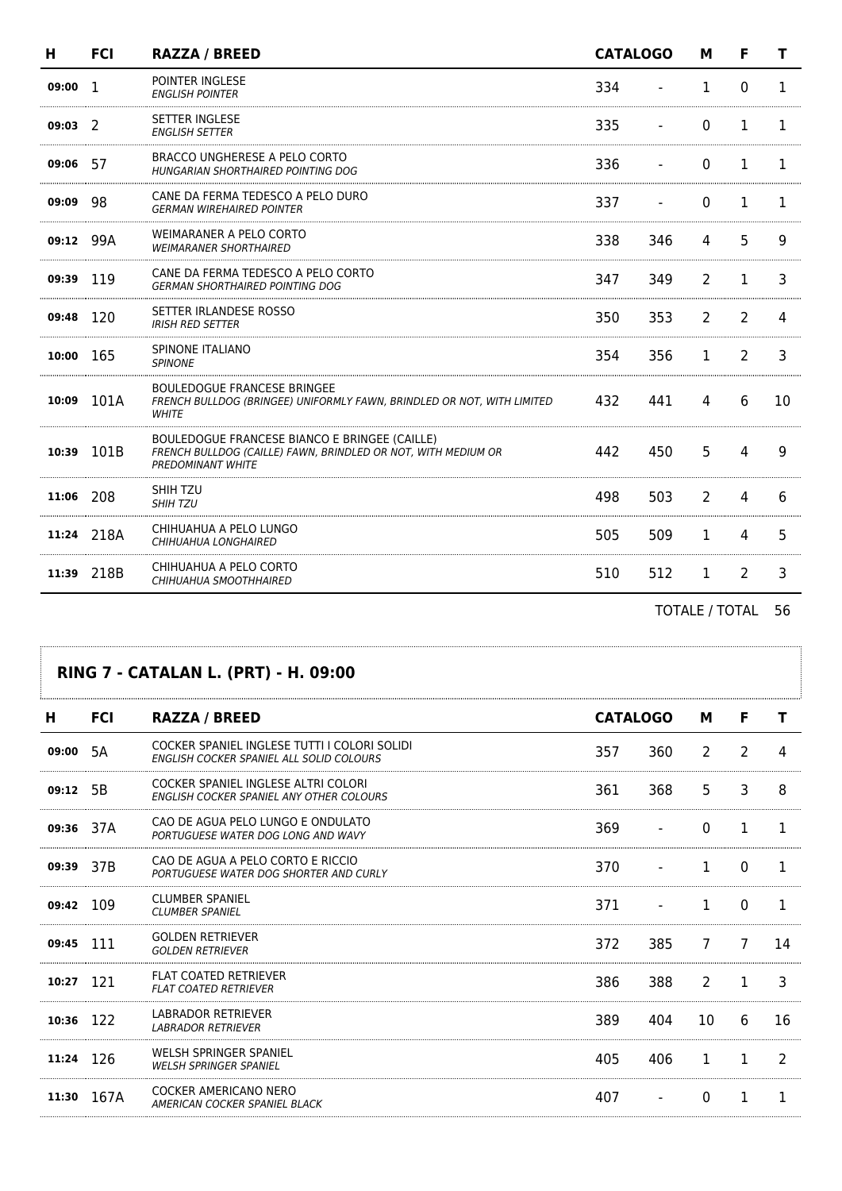| н         | <b>FCI</b> | <b>RAZZA / BREED</b>                                                                                                                       |     | <b>CATALOGO</b> | м            | F              |    |
|-----------|------------|--------------------------------------------------------------------------------------------------------------------------------------------|-----|-----------------|--------------|----------------|----|
| 09:00     | -1         | POINTER INGLESE<br><b>ENGLISH POINTER</b>                                                                                                  | 334 |                 | 1            | 0              | 1. |
| 09:03     | -2         | <b>SETTER INGLESE</b><br><b>ENGLISH SETTER</b>                                                                                             | 335 |                 | $\Omega$     | 1              | 1  |
| 09:06     | 57         | BRACCO UNGHERESE A PELO CORTO<br>HUNGARIAN SHORTHAIRED POINTING DOG                                                                        | 336 |                 | $\Omega$     | 1              | 1  |
| 09:09     | 98         | CANE DA FERMA TEDESCO A PELO DURO<br><b>GERMAN WIREHAIRED POINTER</b>                                                                      | 337 |                 | $\Omega$     | 1              |    |
| 09:12     | 99A        | WEIMARANER A PELO CORTO<br><b>WEIMARANER SHORTHAIRED</b>                                                                                   | 338 | 346             | 4            | 5.             | 9  |
| 09:39 119 |            | CANE DA FERMA TEDESCO A PELO CORTO<br><b>GERMAN SHORTHAIRED POINTING DOG</b>                                                               | 347 | 349             | 2            | 1              | 3  |
| 09:48     | 120        | SETTER IRLANDESE ROSSO<br><b>IRISH RED SETTER</b>                                                                                          | 350 | 353             | 2            | 2              | 4  |
| 10:00     | 165        | SPINONE ITALIANO<br><b>SPINONE</b>                                                                                                         | 354 | 356             | 1            | 2              | 3  |
| 10:09     | 101A       | <b>BOULEDOGUE FRANCESE BRINGEE</b><br>FRENCH BULLDOG (BRINGEE) UNIFORMLY FAWN, BRINDLED OR NOT, WITH LIMITED<br><b>WHITE</b>               | 432 | 441             | 4            | 6              | 10 |
| 10:39     | 101B       | BOULEDOGUE FRANCESE BIANCO E BRINGEE (CAILLE)<br>FRENCH BULLDOG (CAILLE) FAWN, BRINDLED OR NOT, WITH MEDIUM OR<br><b>PREDOMINANT WHITE</b> | 442 | 450             | 5            | $\overline{4}$ | 9  |
| 11:06     | 208        | SHIH TZU<br><b>SHIH TZU</b>                                                                                                                | 498 | 503             | 2            | 4              | 6  |
| 11:24     | 218A       | CHIHUAHUA A PELO LUNGO<br>CHIHUAHUA LONGHAIRED                                                                                             | 505 | 509             | $\mathbf{1}$ | 4              | 5. |
| 11:39     | 218B       | CHIHUAHUA A PELO CORTO<br>CHIHUAHUA SMOOTHHAIRED                                                                                           | 510 | 512             | $\mathbf{1}$ | 2              | 3  |
|           |            |                                                                                                                                            |     |                 |              |                |    |

### **RING 7 - CATALAN L. (PRT) - H. 09:00**

| н         | <b>FCI</b> | <b>RAZZA / BREED</b>                                                                     | <b>CATALOGO</b> |     | M             | F            |               |
|-----------|------------|------------------------------------------------------------------------------------------|-----------------|-----|---------------|--------------|---------------|
| 09:00     | 5A         | COCKER SPANIEL INGLESE TUTTI I COLORI SOLIDI<br>ENGLISH COCKER SPANIEL ALL SOLID COLOURS | 357             | 360 | 2             | 2            |               |
| 09:12     | 5B         | COCKER SPANIEL INGLESE ALTRI COLORI<br>ENGLISH COCKER SPANIEL ANY OTHER COLOURS          | 361             | 368 | 5.            | 3            | 8             |
| 09:36 37A |            | CAO DE AGUA PELO LUNGO E ONDULATO<br>PORTUGUESE WATER DOG LONG AND WAVY                  | 369             |     | 0             |              |               |
| 09:39     | 37B        | CAO DE AGUA A PELO CORTO E RICCIO<br>PORTUGUESE WATER DOG SHORTER AND CURLY              | 370             |     |               | 0            |               |
| 09:42     | 109        | <b>CLUMBER SPANIEL</b><br><b>CLUMBER SPANIEL</b>                                         | 371             |     |               | <sup>0</sup> |               |
| 09:45     | 111        | <b>GOLDEN RETRIEVER</b><br><b>GOLDEN RETRIEVER</b>                                       | 372             | 385 | 7             | 7            | 14            |
| 10:27     | 121        | <b>FLAT COATED RETRIEVER</b><br><b>FLAT COATED RETRIEVER</b>                             | 386             | 388 | $\mathcal{P}$ |              | 3             |
| 10:36 122 |            | LABRADOR RETRIEVER<br><b>LABRADOR RETRIEVER</b>                                          | 389             | 404 | 10            | 6            | 16            |
| 11:24     | 126        | WELSH SPRINGER SPANIEL<br><b>WELSH SPRINGER SPANIEL</b>                                  | 405             | 406 | 1             | 1            | $\mathcal{P}$ |
| 11:30     | 167A       | <b>COCKER AMERICANO NERO</b><br>AMERICAN COCKER SPANIEL BLACK                            | 407             |     |               |              |               |